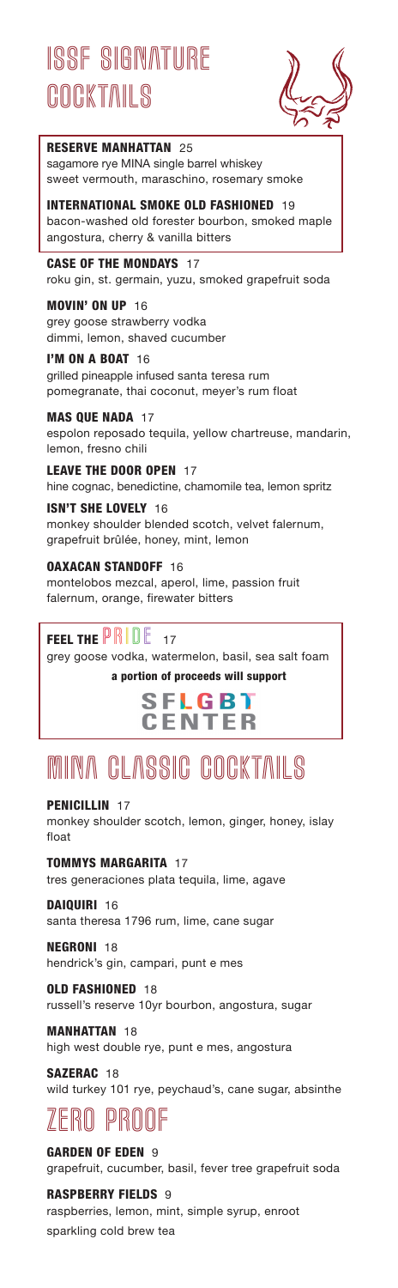# ISSE SIGNATURE **COCKTAILS**



### RESERVE MANHATTAN 25

sagamore rye MINA single barrel whiskey sweet vermouth, maraschino, rosemary smoke

INTERNATIONAL SMOKE OLD FASHIONED 19 bacon-washed old forester bourbon, smoked maple angostura, cherry & vanilla bitters

### CASE OF THE MONDAYS 17

roku gin, st. germain, yuzu, smoked grapefruit soda

#### MOVIN' ON UP 16

grey goose strawberry vodka dimmi, lemon, shaved cucumber

I'M ON A BOAT 16 grilled pineapple infused santa teresa rum pomegranate, thai coconut, meyer's rum float

#### MAS QUE NADA 17 espolon reposado tequila, yellow chartreuse, mandarin, lemon, fresno chili

LEAVE THE DOOR OPEN 17 hine cognac, benedictine, chamomile tea, lemon spritz

### **ISN'T SHE LOVELY 16** monkey shoulder blended scotch, velvet falernum, grapefruit brûlée, honey, mint, lemon

OAXACAN STANDOFF 16 montelobos mezcal, aperol, lime, passion fruit falernum, orange, firewater bitters

### FEEL THE  $\mathbb{PRI} \mathbb{DE}$  17

grey goose vodka, watermelon, basil, sea salt foam a portion of proceeds will support

## **SFLGB1 CENTER**

# mina classic cocktails

PENICILLIN 17 monkey shoulder scotch, lemon, ginger, honey, islay float

TOMMYS MARGARITA 17 tres generaciones plata tequila, lime, agave

DAIQUIRI 16 santa theresa 1796 rum, lime, cane sugar

NEGRONI 18 hendrick's gin, campari, punt e mes

**OLD FASHIONED 18** russell's reserve 10yr bourbon, angostura, sugar

MANHATTAN 18

high west double rye, punt e mes, angostura

SAZERAC 18 wild turkey 101 rye, peychaud's, cane sugar, absinthe

## ZERO PROOF

GARDEN OF EDEN 9 grapefruit, cucumber, basil, fever tree grapefruit soda

RASPBERRY FIELDS 9 raspberries, lemon, mint, simple syrup, enroot sparkling cold brew tea